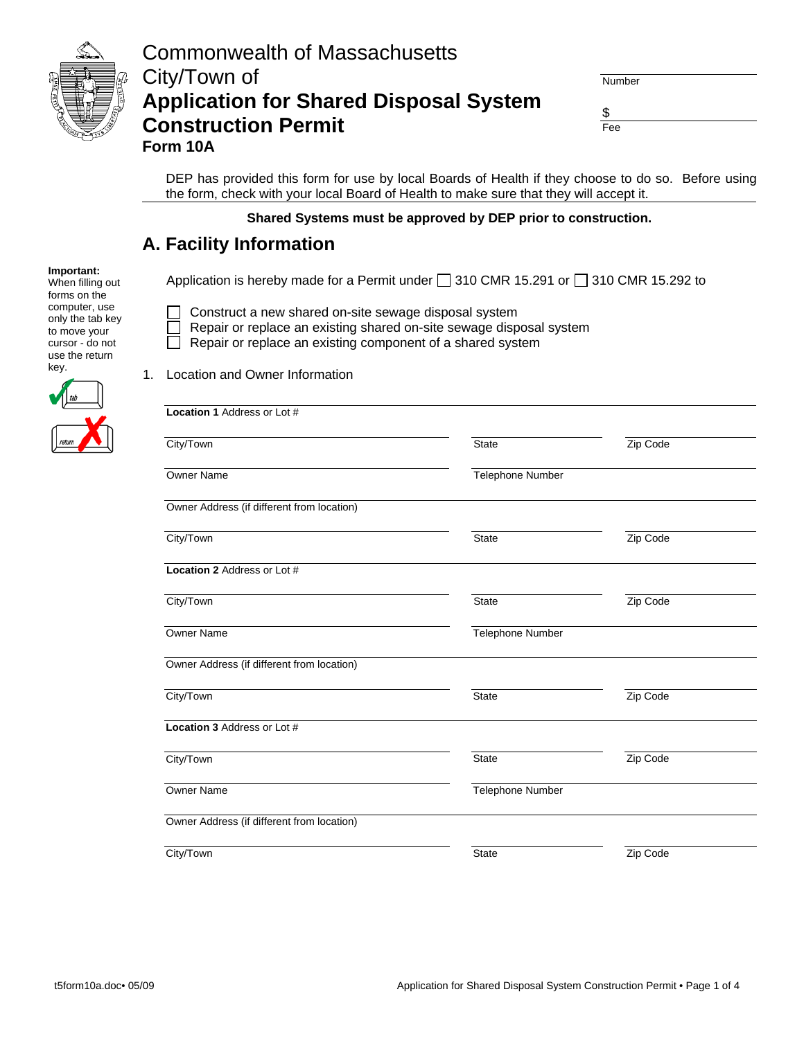

| Number |  |
|--------|--|

 \$ Fee

 DEP has provided this form for use by local Boards of Health if they choose to do so. Before using the form, check with your local Board of Health to make sure that they will accept it.

#### **Shared Systems must be approved by DEP prior to construction.**

#### **A. Facility Information**

Application is hereby made for a Permit under  $\Box$  310 CMR 15.291 or  $\Box$  310 CMR 15.292 to

- □ Construct a new shared on-site sewage disposal system
	- Repair or replace an existing shared on-site sewage disposal system
	- Repair or replace an existing component of a shared system



**Important:** When filling out forms on the computer, use only the tab key to move your

1. Location and Owner Information

| <b>Location 1 Address or Lot #</b>         |                  |          |
|--------------------------------------------|------------------|----------|
| City/Town                                  | <b>State</b>     | Zip Code |
| <b>Owner Name</b>                          | Telephone Number |          |
| Owner Address (if different from location) |                  |          |
| City/Town                                  | <b>State</b>     | Zip Code |
| <b>Location 2 Address or Lot #</b>         |                  |          |
| City/Town                                  | <b>State</b>     | Zip Code |
| Owner Name                                 | Telephone Number |          |
| Owner Address (if different from location) |                  |          |
| City/Town                                  | <b>State</b>     | Zip Code |
| <b>Location 3 Address or Lot #</b>         |                  |          |
| City/Town                                  | <b>State</b>     | Zip Code |
| Owner Name                                 | Telephone Number |          |
| Owner Address (if different from location) |                  |          |
| City/Town                                  | State            | Zip Code |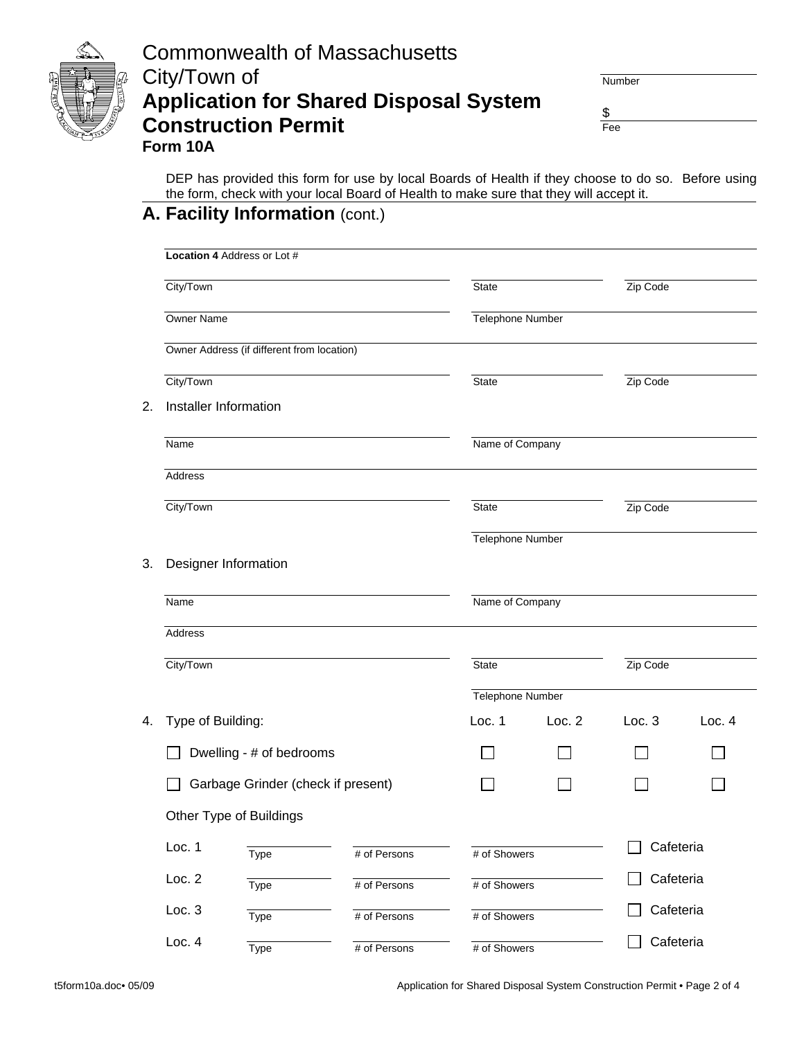

\$

Fee

 DEP has provided this form for use by local Boards of Health if they choose to do so. Before using the form, check with your local Board of Health to make sure that they will accept it.

# **A. Facility Information** (cont.)

|    |                   | Location 4 Address or Lot #                |              |                  |        |           |        |
|----|-------------------|--------------------------------------------|--------------|------------------|--------|-----------|--------|
|    | City/Town         |                                            |              | <b>State</b>     |        | Zip Code  |        |
|    | Owner Name        |                                            |              | Telephone Number |        |           |        |
|    |                   | Owner Address (if different from location) |              |                  |        |           |        |
|    | City/Town         |                                            |              | <b>State</b>     |        | Zip Code  |        |
| 2. |                   | Installer Information                      |              |                  |        |           |        |
|    | Name              |                                            |              | Name of Company  |        |           |        |
|    | Address           |                                            |              |                  |        |           |        |
|    | City/Town         |                                            |              | State            |        | Zip Code  |        |
|    |                   |                                            |              | Telephone Number |        |           |        |
| 3. |                   | Designer Information                       |              |                  |        |           |        |
|    | Name              |                                            |              | Name of Company  |        |           |        |
|    | Address           |                                            |              |                  |        |           |        |
|    | City/Town         |                                            |              | State            |        | Zip Code  |        |
|    |                   |                                            |              | Telephone Number |        |           |        |
| 4. | Type of Building: |                                            |              | Loc. 1           | Loc. 2 | Loc. 3    | Loc. 4 |
|    |                   | Dwelling - # of bedrooms                   |              |                  |        |           |        |
|    |                   | Garbage Grinder (check if present)         |              |                  |        |           |        |
|    |                   | Other Type of Buildings                    |              |                  |        |           |        |
|    | Loc. 1            | Type                                       | # of Persons | # of Showers     |        | Cafeteria |        |
|    | Loc. 2            | Type                                       | # of Persons | # of Showers     |        | Cafeteria |        |
|    | Loc. 3            | Type                                       | # of Persons | # of Showers     |        | Cafeteria |        |
|    | Loc. 4            | Type                                       | # of Persons | # of Showers     |        | Cafeteria |        |

t5form10a.doc• 05/09 Application for Shared Disposal System Construction Permit • Page 2 of 4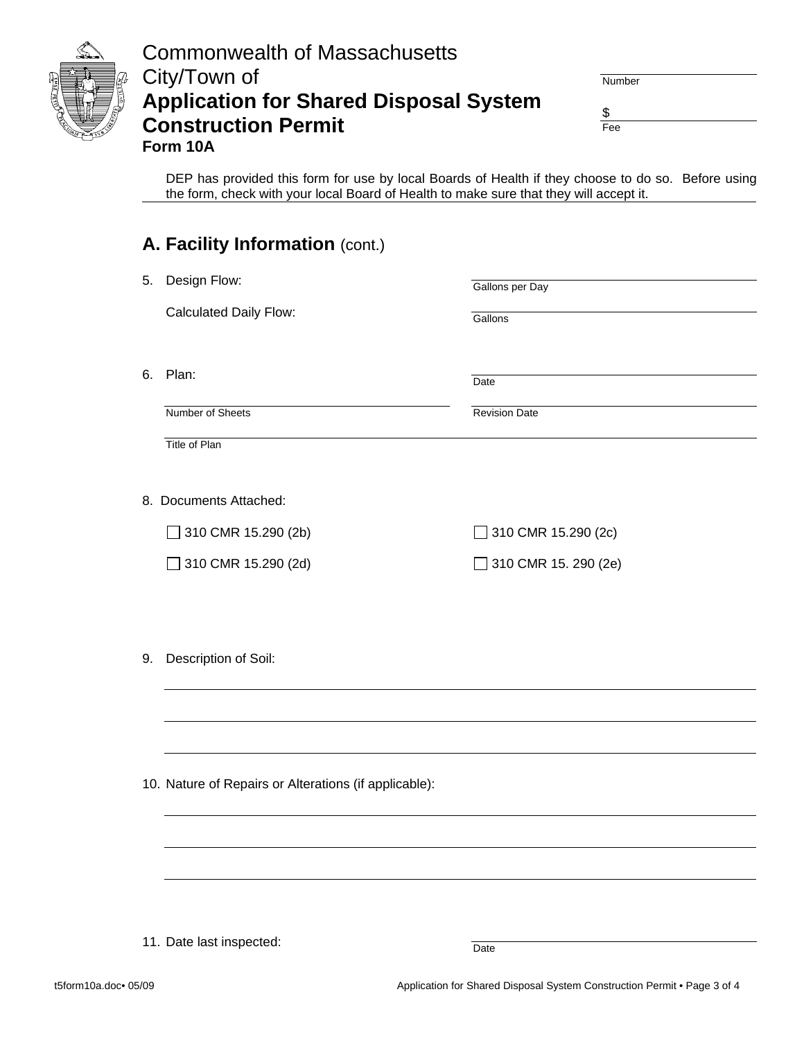

Number

 \$ Fee

 DEP has provided this form for use by local Boards of Health if they choose to do so. Before using the form, check with your local Board of Health to make sure that they will accept it.

|    | A. Facility Information (cont.)                       |                           |
|----|-------------------------------------------------------|---------------------------|
| 5. | Design Flow:                                          | Gallons per Day           |
|    | <b>Calculated Daily Flow:</b>                         | Gallons                   |
| 6. | Plan:                                                 | Date                      |
|    | Number of Sheets                                      | <b>Revision Date</b>      |
|    | Title of Plan                                         |                           |
|    |                                                       |                           |
|    | 8. Documents Attached:                                |                           |
|    | 310 CMR 15.290 (2b)                                   | 310 CMR 15.290 (2c)<br>n. |
|    | 310 CMR 15.290 (2d)                                   | ◯ 310 CMR 15. 290 (2e)    |
|    |                                                       |                           |
|    |                                                       |                           |
| 9. | Description of Soil:                                  |                           |
|    |                                                       |                           |
|    |                                                       |                           |
|    |                                                       |                           |
|    | 10. Nature of Repairs or Alterations (if applicable): |                           |
|    |                                                       |                           |
|    |                                                       |                           |
|    |                                                       |                           |
|    |                                                       |                           |
|    |                                                       |                           |

Date

11. Date last inspected: